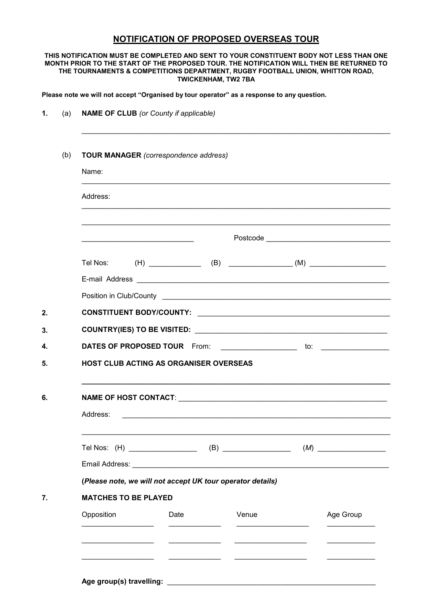## NOTIFICATION OF PROPOSED OVERSEAS TOUR

## THIS NOTIFICATION MUST BE COMPLETED AND SENT TO YOUR CONSTITUENT BODY NOT LESS THAN ONE MONTH PRIOR TO THE START OF THE PROPOSED TOUR. THE NOTIFICATION WILL THEN BE RETURNED TO THE TOURNAMENTS & COMPETITIONS DEPARTMENT, RUGBY FOOTBALL UNION, WHITTON ROAD, TWICKENHAM, TW2 7BA

Please note we will not accept "Organised by tour operator" as a response to any question.

| (a) | <b>NAME OF CLUB</b> (or County if applicable)                                                                         |      |       |  |           |  |  |
|-----|-----------------------------------------------------------------------------------------------------------------------|------|-------|--|-----------|--|--|
| (b) | <b>TOUR MANAGER</b> (correspondence address)                                                                          |      |       |  |           |  |  |
|     | Name:                                                                                                                 |      |       |  |           |  |  |
|     | Address:                                                                                                              |      |       |  |           |  |  |
|     | <u> 1989 - Johann John Stein, market fan it ferskeart fan it ferskeart fan it ferskeart fan it ferskeart fan it f</u> |      |       |  |           |  |  |
|     |                                                                                                                       |      |       |  |           |  |  |
|     |                                                                                                                       |      |       |  |           |  |  |
|     |                                                                                                                       |      |       |  |           |  |  |
|     |                                                                                                                       |      |       |  |           |  |  |
|     |                                                                                                                       |      |       |  |           |  |  |
|     |                                                                                                                       |      |       |  |           |  |  |
|     | <b>HOST CLUB ACTING AS ORGANISER OVERSEAS</b>                                                                         |      |       |  |           |  |  |
|     |                                                                                                                       |      |       |  |           |  |  |
|     | Address:                                                                                                              |      |       |  |           |  |  |
|     |                                                                                                                       |      |       |  |           |  |  |
|     |                                                                                                                       |      |       |  |           |  |  |
|     | (Please note, we will not accept UK tour operator details)                                                            |      |       |  |           |  |  |
|     | <b>MATCHES TO BE PLAYED</b>                                                                                           |      |       |  |           |  |  |
|     | Opposition                                                                                                            | Date | Venue |  | Age Group |  |  |
|     |                                                                                                                       |      |       |  |           |  |  |
|     |                                                                                                                       |      |       |  |           |  |  |